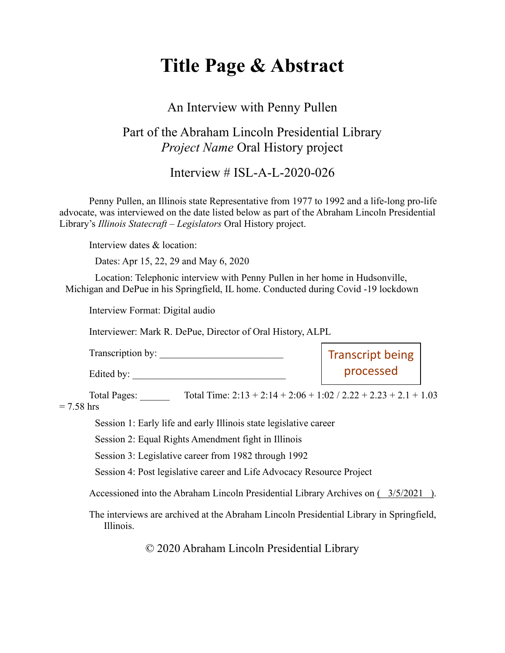# **Title Page & Abstract**

#### An Interview with Penny Pullen

### Part of the Abraham Lincoln Presidential Library *Project Name* Oral History project

Interview # ISL-A-L-2020-026

Penny Pullen, an Illinois state Representative from 1977 to 1992 and a life-long pro-life advocate, was interviewed on the date listed below as part of the Abraham Lincoln Presidential Library's *Illinois Statecraft – Legislators* Oral History project.

Interview dates & location:

Dates: Apr 15, 22, 29 and May 6, 2020

Location: Telephonic interview with Penny Pullen in her home in Hudsonville, Michigan and DePue in his Springfield, IL home. Conducted during Covid -19 lockdown

Interview Format: Digital audio

Interviewer: Mark R. DePue, Director of Oral History, ALPL

| Transcription by: | <b>Transcript being</b> |
|-------------------|-------------------------|
| Edited by:        | processed               |

Total Pages: \_\_\_\_\_\_ Total Time: 2:13 + 2:14 + 2:06 + 1:02 / 2.22 + 2.23 + 2.1 + 1.03

 $= 7.58$  hrs

Session 1: Early life and early Illinois state legislative career

Session 2: Equal Rights Amendment fight in Illinois

Session 3: Legislative career from 1982 through 1992

Session 4: Post legislative career and Life Advocacy Resource Project

Accessioned into the Abraham Lincoln Presidential Library Archives on ( 3/5/2021 ).

The interviews are archived at the Abraham Lincoln Presidential Library in Springfield, Illinois.

© 2020 Abraham Lincoln Presidential Library